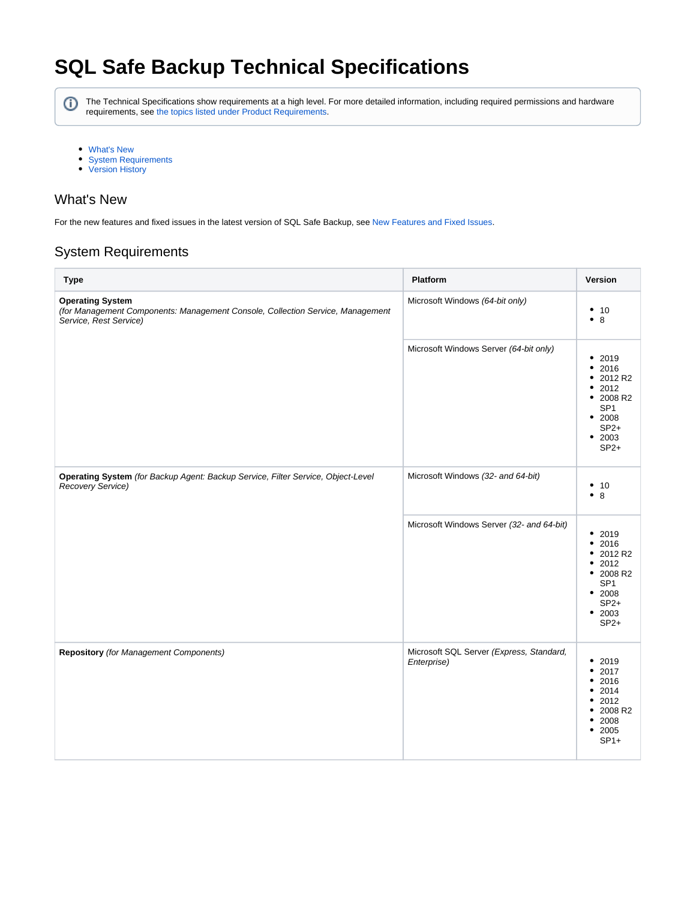# **SQL Safe Backup Technical Specifications**

⊕

The Technical Specifications show requirements at a high level. For more detailed information, including required permissions and hardware requirements, see [the topics listed under Product Requirements.](http://wiki.idera.com/display/SQLSAFE/Product+requirements)

- [What's New](#page-0-0)
- [System Requirements](#page-0-1)
- [Version History](#page-1-0)

# <span id="page-0-0"></span>What's New

For the new features and fixed issues in the latest version of SQL Safe Backup, see [New Features and Fixed Issues](http://wiki.idera.com/display/SQLSAFE/New+features+and+fixed+issues).

# <span id="page-0-1"></span>System Requirements

| <b>Type</b>                                                                                                                         | Platform                                                | Version                                                                                                                  |
|-------------------------------------------------------------------------------------------------------------------------------------|---------------------------------------------------------|--------------------------------------------------------------------------------------------------------------------------|
| <b>Operating System</b><br>(for Management Components: Management Console, Collection Service, Management<br>Service, Rest Service) | Microsoft Windows (64-bit only)                         | • 10<br>• 8                                                                                                              |
|                                                                                                                                     | Microsoft Windows Server (64-bit only)                  | • 2019<br>2016<br>٠<br>2012 R2<br>٠<br>2012<br>٠<br>• 2008 R2<br>SP <sub>1</sub><br>• 2008<br>$SP2+$<br>• 2003<br>$SP2+$ |
| Operating System (for Backup Agent: Backup Service, Filter Service, Object-Level<br>Recovery Service)                               | Microsoft Windows (32- and 64-bit)                      | • 10<br>• 8                                                                                                              |
|                                                                                                                                     | Microsoft Windows Server (32- and 64-bit)               | • 2019<br>• 2016<br>• 2012 R2<br>• 2012<br>• 2008 R2<br>SP <sub>1</sub><br>• 2008<br>$SP2+$<br>• 2003<br>$SP2+$          |
| <b>Repository</b> (for Management Components)                                                                                       | Microsoft SQL Server (Express, Standard,<br>Enterprise) | ٠<br>2019<br>• 2017<br>2016<br>$\bullet$<br>• 2014<br>• 2012<br>• 2008 R2<br>2008<br>$\bullet$<br>• 2005<br>$SP1+$       |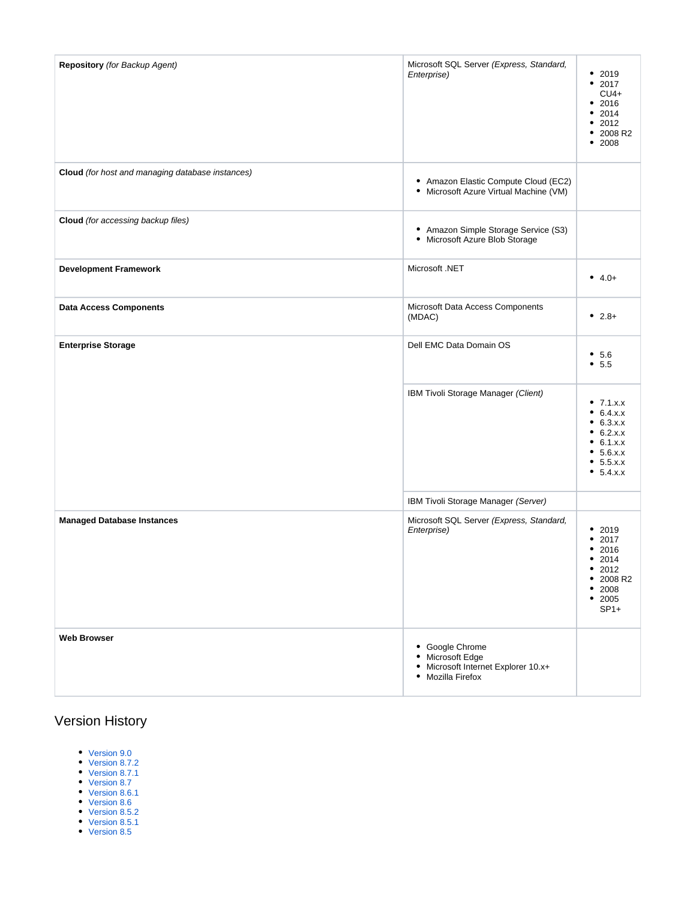| Repository (for Backup Agent)                    | Microsoft SQL Server (Express, Standard,<br>Enterprise)                                         | • 2019<br>• 2017<br>$CU4+$<br>• 2016<br>• 2014<br>• 2012<br>• 2008 R2<br>• 2008                        |
|--------------------------------------------------|-------------------------------------------------------------------------------------------------|--------------------------------------------------------------------------------------------------------|
| Cloud (for host and managing database instances) | • Amazon Elastic Compute Cloud (EC2)<br>• Microsoft Azure Virtual Machine (VM)                  |                                                                                                        |
| Cloud (for accessing backup files)               | • Amazon Simple Storage Service (S3)<br>• Microsoft Azure Blob Storage                          |                                                                                                        |
| <b>Development Framework</b>                     | Microsoft .NET                                                                                  | • $4.0+$                                                                                               |
| <b>Data Access Components</b>                    | Microsoft Data Access Components<br>(MDAC)                                                      | • $2.8+$                                                                                               |
| <b>Enterprise Storage</b>                        | Dell EMC Data Domain OS                                                                         | • 5.6<br>• 5.5                                                                                         |
|                                                  | IBM Tivoli Storage Manager (Client)                                                             | • $7.1.x.x$<br>• 6.4.x.x<br>• 6.3.x.x<br>• 6.2.x.x<br>• 6.1.x.x<br>• 5.6.x.x<br>• 5.5.x.x<br>• 5.4.x.x |
|                                                  | IBM Tivoli Storage Manager (Server)                                                             |                                                                                                        |
| <b>Managed Database Instances</b>                | Microsoft SQL Server (Express, Standard,<br>Enterprise)                                         | 2019<br>٠<br>• 2017<br>• 2016<br>• 2014<br>• 2012<br>• 2008 R2<br>• 2008<br>• 2005<br>$SP1+$           |
| <b>Web Browser</b>                               | • Google Chrome<br>• Microsoft Edge<br>• Microsoft Internet Explorer 10.x+<br>• Mozilla Firefox |                                                                                                        |

# <span id="page-1-0"></span>Version History

- [Version 9.0](#page-2-0)
- [Version 8.7.2](#page-2-1)
- [Version 8.7.1](#page-2-2) [Version 8.7](#page-2-3)
- [Version 8.6.1](#page-2-4)
- [Version 8.6](#page-2-5)
- [Version 8.5.2](#page-2-6)
- [Version 8.5.1](#page-2-7)
- [Version 8.5](#page-2-8)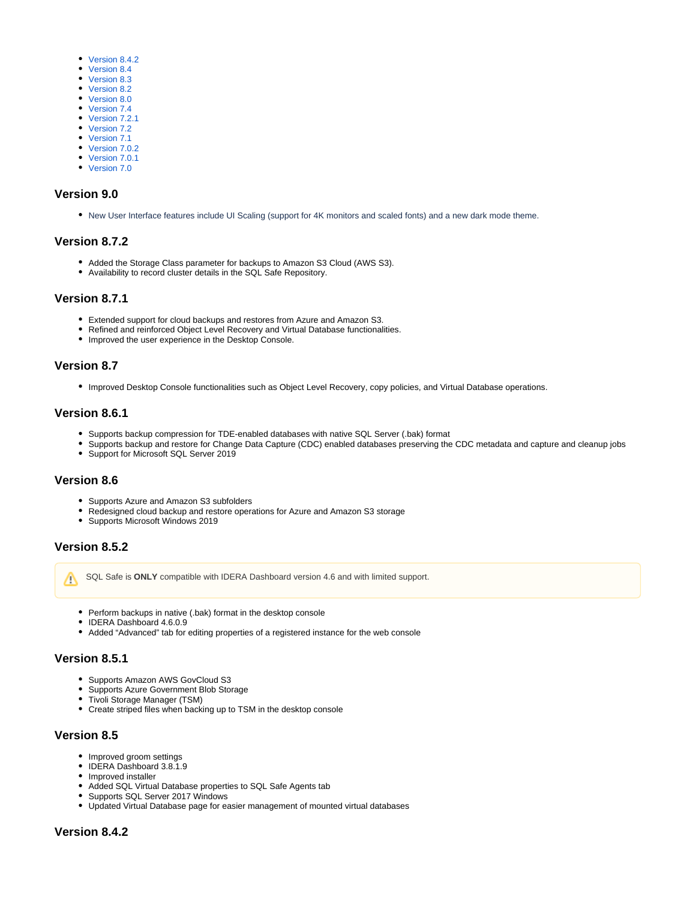- [Version 8.4.2](#page-2-9)
- [Version 8.4](#page-3-0)
- [Version 8.3](#page-3-1)
- [Version 8.2](#page-3-2)
- [Version 8.0](#page-3-3)
- [Version 7.4](#page-3-4)
- [Version 7.2.1](#page-3-5)
- [Version 7.2](#page-3-6)
- [Version 7.1](#page-3-7) • [Version 7.0.2](#page-3-8)
- [Version 7.0.1](#page-3-9)
- [Version 7.0](#page-3-10)

#### <span id="page-2-0"></span>**Version 9.0**

New User Interface features include UI Scaling (support for 4K monitors and scaled fonts) and a new dark mode theme.

#### <span id="page-2-1"></span>**Version 8.7.2**

- Added the Storage Class parameter for backups to Amazon S3 Cloud (AWS S3).
- Availability to record cluster details in the SQL Safe Repository.

#### <span id="page-2-2"></span>**Version 8.7.1**

- Extended support for cloud backups and restores from Azure and Amazon S3.
- Refined and reinforced Object Level Recovery and Virtual Database functionalities.
- Improved the user experience in the Desktop Console.

#### <span id="page-2-3"></span>**Version 8.7**

Improved Desktop Console functionalities such as Object Level Recovery, copy policies, and Virtual Database operations.

## <span id="page-2-4"></span>**Version 8.6.1**

- Supports backup compression for TDE-enabled databases with native SQL Server (.bak) format
- Supports backup and restore for Change Data Capture (CDC) enabled databases preserving the CDC metadata and capture and cleanup jobs
- Support for Microsoft SQL Server 2019

#### <span id="page-2-5"></span>**Version 8.6**

- Supports Azure and Amazon S3 subfolders
- Redesigned cloud backup and restore operations for Azure and Amazon S3 storage
- Supports Microsoft Windows 2019

#### <span id="page-2-6"></span>**Version 8.5.2**

Λ

SQL Safe is **ONLY** compatible with IDERA Dashboard version 4.6 and with limited support.

- Perform backups in native (.bak) format in the desktop console
- IDERA Dashboard 4.6.0.9
- Added "Advanced" tab for editing properties of a registered instance for the web console

# <span id="page-2-7"></span>**Version 8.5.1**

- Supports Amazon AWS GovCloud S3
- $\bullet$ Supports Azure Government Blob Storage
- Tivoli Storage Manager (TSM)
- Create striped files when backing up to TSM in the desktop console

#### <span id="page-2-8"></span>**Version 8.5**

- Improved groom settings
- IDERA Dashboard 3.8.1.9
- Improved installer
- Added SQL Virtual Database properties to SQL Safe Agents tab
- Supports SQL Server 2017 Windows
- <span id="page-2-9"></span>Updated Virtual Database page for easier management of mounted virtual databases